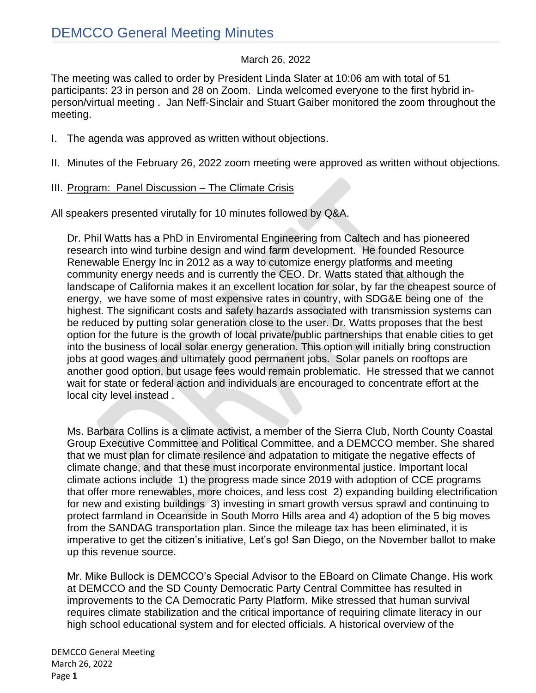#### March 26, 2022

The meeting was called to order by President Linda Slater at 10:06 am with total of 51 participants: 23 in person and 28 on Zoom. Linda welcomed everyone to the first hybrid inperson/virtual meeting . Jan Neff-Sinclair and Stuart Gaiber monitored the zoom throughout the meeting.

- I. The agenda was approved as written without objections.
- II. Minutes of the February 26, 2022 zoom meeting were approved as written without objections.
- III. Program: Panel Discussion The Climate Crisis

All speakers presented virutally for 10 minutes followed by Q&A.

Dr. Phil Watts has a PhD in Enviromental Engineering from Caltech and has pioneered research into wind turbine design and wind farm development. He founded Resource Renewable Energy Inc in 2012 as a way to cutomize energy platforms and meeting community energy needs and is currently the CEO. Dr. Watts stated that although the landscape of California makes it an excellent location for solar, by far the cheapest source of energy, we have some of most expensive rates in country, with SDG&E being one of the highest. The significant costs and safety hazards associated with transmission systems can be reduced by putting solar generation close to the user. Dr. Watts proposes that the best option for the future is the growth of local private/public partnerships that enable cities to get into the business of local solar energy generation. This option will initially bring construction jobs at good wages and ultimately good permanent jobs. Solar panels on rooftops are another good option, but usage fees would remain problematic. He stressed that we cannot wait for state or federal action and individuals are encouraged to concentrate effort at the local city level instead .

Ms. Barbara Collins is a climate activist, a member of the Sierra Club, North County Coastal Group Executive Committee and Political Committee, and a DEMCCO member. She shared that we must plan for climate resilence and adpatation to mitigate the negative effects of climate change, and that these must incorporate environmental justice. Important local climate actions include 1) the progress made since 2019 with adoption of CCE programs that offer more renewables, more choices, and less cost 2) expanding building electrification for new and existing buildings 3) investing in smart growth versus sprawl and continuing to protect farmland in Oceanside in South Morro Hills area and 4) adoption of the 5 big moves from the SANDAG transportation plan. Since the mileage tax has been eliminated, it is imperative to get the citizen's initiative, Let's go! San Diego, on the November ballot to make up this revenue source.

Mr. Mike Bullock is DEMCCO's Special Advisor to the EBoard on Climate Change. His work at DEMCCO and the SD County Democratic Party Central Committee has resulted in improvements to the CA Democratic Party Platform. Mike stressed that human survival requires climate stabilization and the critical importance of requiring climate literacy in our high school educational system and for elected officials. A historical overview of the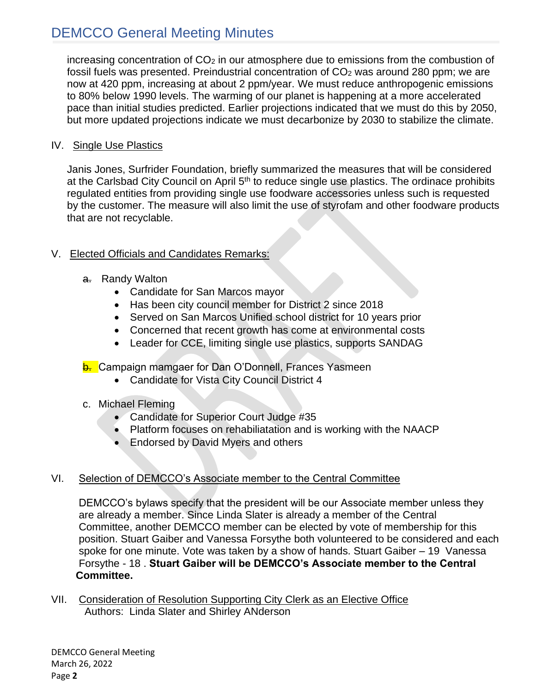# DEMCCO General Meeting Minutes

increasing concentration of  $CO<sub>2</sub>$  in our atmosphere due to emissions from the combustion of fossil fuels was presented. Preindustrial concentration of CO<sub>2</sub> was around 280 ppm; we are now at 420 ppm, increasing at about 2 ppm/year. We must reduce anthropogenic emissions to 80% below 1990 levels. The warming of our planet is happening at a more accelerated pace than initial studies predicted. Earlier projections indicated that we must do this by 2050, but more updated projections indicate we must decarbonize by 2030 to stabilize the climate.

#### IV. Single Use Plastics

Janis Jones, Surfrider Foundation, briefly summarized the measures that will be considered at the Carlsbad City Council on April  $5<sup>th</sup>$  to reduce single use plastics. The ordinace prohibits regulated entities from providing single use foodware accessories unless such is requested by the customer. The measure will also limit the use of styrofam and other foodware products that are not recyclable.

### V. Elected Officials and Candidates Remarks:

- a. Randy Walton
	- Candidate for San Marcos mayor
	- Has been city council member for District 2 since 2018
	- Served on San Marcos Unified school district for 10 years prior
	- Concerned that recent growth has come at environmental costs
	- Leader for CCE, limiting single use plastics, supports SANDAG

### **b.** Campaign mamgaer for Dan O'Donnell, Frances Yasmeen

- Candidate for Vista City Council District 4
- c. Michael Fleming
	- Candidate for Superior Court Judge #35
	- Platform focuses on rehabiliatation and is working with the NAACP
	- Endorsed by David Myers and others

### VI. Selection of DEMCCO's Associate member to the Central Committee

 DEMCCO's bylaws specify that the president will be our Associate member unless they are already a member. Since Linda Slater is already a member of the Central Committee, another DEMCCO member can be elected by vote of membership for this position. Stuart Gaiber and Vanessa Forsythe both volunteered to be considered and each spoke for one minute. Vote was taken by a show of hands. Stuart Gaiber – 19 Vanessa Forsythe - 18 . **Stuart Gaiber will be DEMCCO's Associate member to the Central Committee.** 

VII. Consideration of Resolution Supporting City Clerk as an Elective Office Authors: Linda Slater and Shirley ANderson